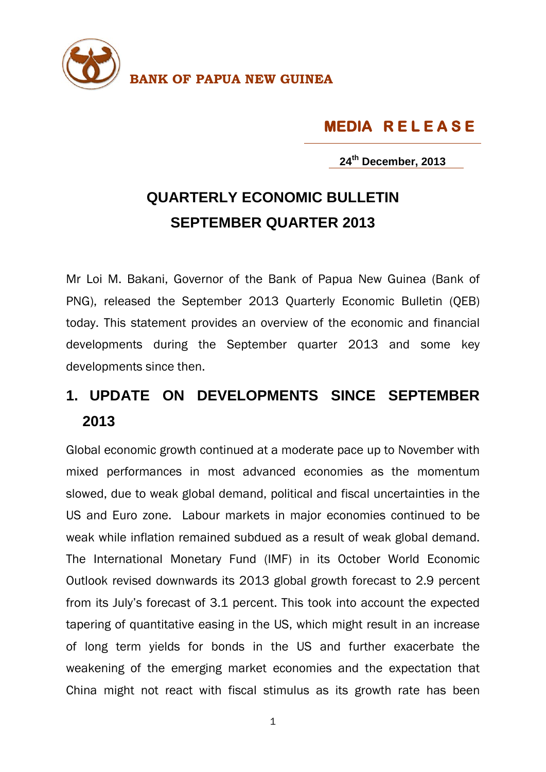

**MEDIA R E L E A S E** 

**24th December, 2013**

## **QUARTERLY ECONOMIC BULLETIN SEPTEMBER QUARTER 2013**

Mr Loi M. Bakani, Governor of the Bank of Papua New Guinea (Bank of PNG), released the September 2013 Quarterly Economic Bulletin (QEB) today. This statement provides an overview of the economic and financial developments during the September quarter 2013 and some key developments since then.

## **1. UPDATE ON DEVELOPMENTS SINCE SEPTEMBER 2013**

Global economic growth continued at a moderate pace up to November with mixed performances in most advanced economies as the momentum slowed, due to weak global demand, political and fiscal uncertainties in the US and Euro zone. Labour markets in major economies continued to be weak while inflation remained subdued as a result of weak global demand. The International Monetary Fund (IMF) in its October World Economic Outlook revised downwards its 2013 global growth forecast to 2.9 percent from its July's forecast of 3.1 percent. This took into account the expected tapering of quantitative easing in the US, which might result in an increase of long term yields for bonds in the US and further exacerbate the weakening of the emerging market economies and the expectation that China might not react with fiscal stimulus as its growth rate has been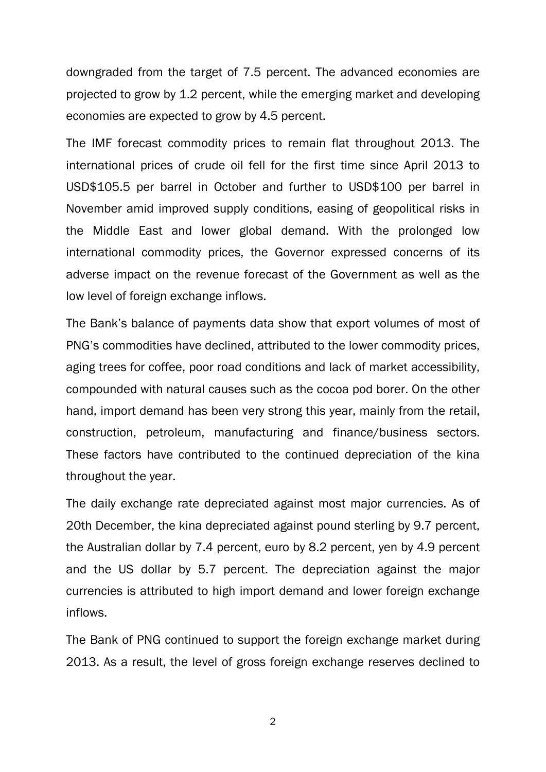downgraded from the target of 7.5 percent. The advanced economies are projected to grow by 1.2 percent, while the emerging market and developing economies are expected to grow by 4.5 percent.

The IMF forecast commodity prices to remain flat throughout 2013. The international prices of crude oil fell for the first time since April 2013 to USD\$105.5 per barrel in October and further to USD\$100 per barrel in November amid improved supply conditions, easing of geopolitical risks in the Middle East and lower global demand. With the prolonged low international commodity prices, the Governor expressed concerns of its adverse impact on the revenue forecast of the Government as well as the low level of foreign exchange inflows.

The Bank's balance of payments data show that export volumes of most of PNG's commodities have declined, attributed to the lower commodity prices, aging trees for coffee, poor road conditions and lack of market accessibility, compounded with natural causes such as the cocoa pod borer. On the other hand, import demand has been very strong this year, mainly from the retail, construction, petroleum, manufacturing and finance/business sectors. These factors have contributed to the continued depreciation of the kina throughout the year.

The daily exchange rate depreciated against most major currencies. As of 20th December, the kina depreciated against pound sterling by 9.7 percent, the Australian dollar by 7.4 percent, euro by 8.2 percent, yen by 4.9 percent and the US dollar by 5.7 percent. The depreciation against the major currencies is attributed to high import demand and lower foreign exchange inflows.

The Bank of PNG continued to support the foreign exchange market during 2013. As a result, the level of gross foreign exchange reserves declined to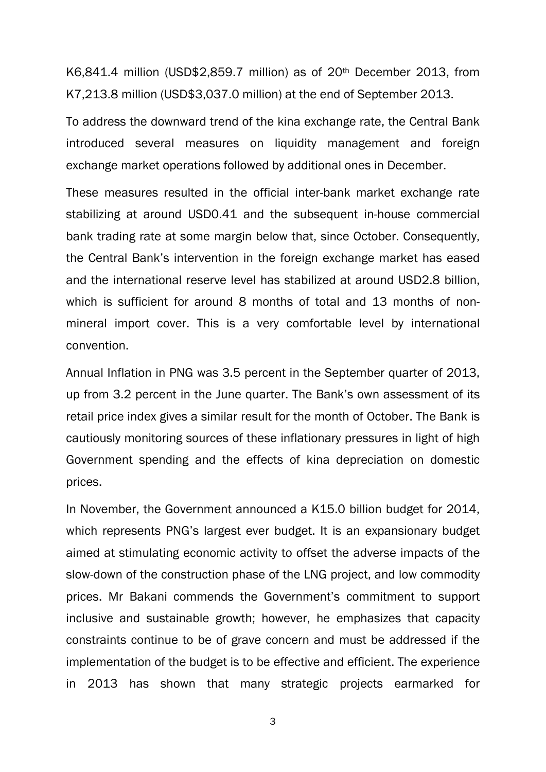K6,841.4 million (USD\$2,859.7 million) as of 20th December 2013, from K7,213.8 million (USD\$3,037.0 million) at the end of September 2013.

To address the downward trend of the kina exchange rate, the Central Bank introduced several measures on liquidity management and foreign exchange market operations followed by additional ones in December.

These measures resulted in the official inter-bank market exchange rate stabilizing at around USD0.41 and the subsequent in-house commercial bank trading rate at some margin below that, since October. Consequently, the Central Bank's intervention in the foreign exchange market has eased and the international reserve level has stabilized at around USD2.8 billion, which is sufficient for around 8 months of total and 13 months of nonmineral import cover. This is a very comfortable level by international convention.

Annual Inflation in PNG was 3.5 percent in the September quarter of 2013, up from 3.2 percent in the June quarter. The Bank's own assessment of its retail price index gives a similar result for the month of October. The Bank is cautiously monitoring sources of these inflationary pressures in light of high Government spending and the effects of kina depreciation on domestic prices.

In November, the Government announced a K15.0 billion budget for 2014, which represents PNG's largest ever budget. It is an expansionary budget aimed at stimulating economic activity to offset the adverse impacts of the slow-down of the construction phase of the LNG project, and low commodity prices. Mr Bakani commends the Government's commitment to support inclusive and sustainable growth; however, he emphasizes that capacity constraints continue to be of grave concern and must be addressed if the implementation of the budget is to be effective and efficient. The experience in 2013 has shown that many strategic projects earmarked for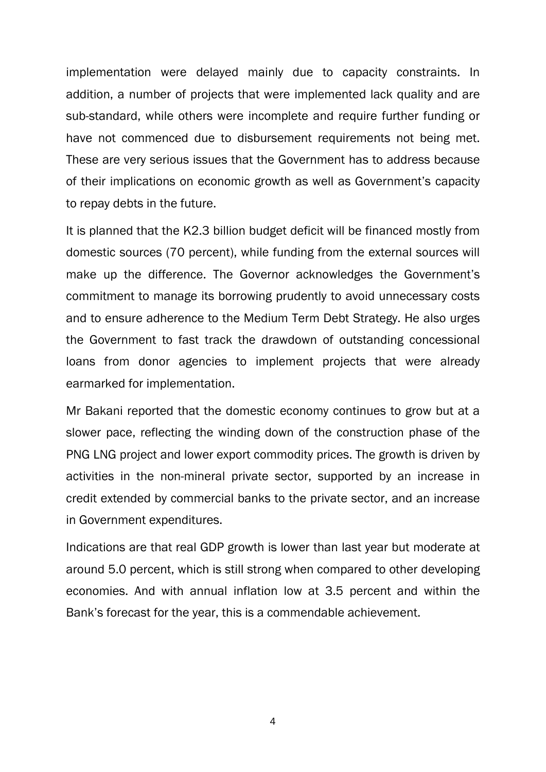implementation were delayed mainly due to capacity constraints. In addition, a number of projects that were implemented lack quality and are sub-standard, while others were incomplete and require further funding or have not commenced due to disbursement requirements not being met. These are very serious issues that the Government has to address because of their implications on economic growth as well as Government's capacity to repay debts in the future.

It is planned that the K2.3 billion budget deficit will be financed mostly from domestic sources (70 percent), while funding from the external sources will make up the difference. The Governor acknowledges the Government's commitment to manage its borrowing prudently to avoid unnecessary costs and to ensure adherence to the Medium Term Debt Strategy. He also urges the Government to fast track the drawdown of outstanding concessional loans from donor agencies to implement projects that were already earmarked for implementation.

Mr Bakani reported that the domestic economy continues to grow but at a slower pace, reflecting the winding down of the construction phase of the PNG LNG project and lower export commodity prices. The growth is driven by activities in the non-mineral private sector, supported by an increase in credit extended by commercial banks to the private sector, and an increase in Government expenditures.

Indications are that real GDP growth is lower than last year but moderate at around 5.0 percent, which is still strong when compared to other developing economies. And with annual inflation low at 3.5 percent and within the Bank's forecast for the year, this is a commendable achievement.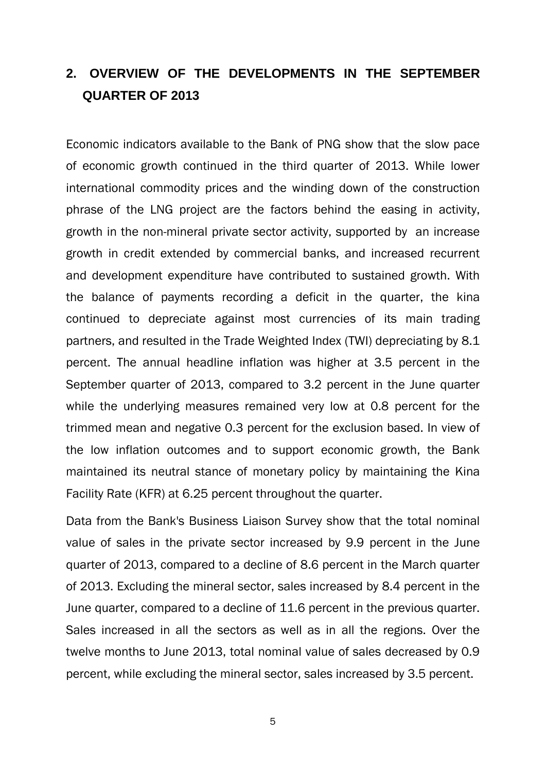## **2. OVERVIEW OF THE DEVELOPMENTS IN THE SEPTEMBER QUARTER OF 2013**

Economic indicators available to the Bank of PNG show that the slow pace of economic growth continued in the third quarter of 2013. While lower international commodity prices and the winding down of the construction phrase of the LNG project are the factors behind the easing in activity, growth in the non-mineral private sector activity, supported by an increase growth in credit extended by commercial banks, and increased recurrent and development expenditure have contributed to sustained growth. With the balance of payments recording a deficit in the quarter, the kina continued to depreciate against most currencies of its main trading partners, and resulted in the Trade Weighted Index (TWI) depreciating by 8.1 percent. The annual headline inflation was higher at 3.5 percent in the September quarter of 2013, compared to 3.2 percent in the June quarter while the underlying measures remained very low at 0.8 percent for the trimmed mean and negative 0.3 percent for the exclusion based. In view of the low inflation outcomes and to support economic growth, the Bank maintained its neutral stance of monetary policy by maintaining the Kina Facility Rate (KFR) at 6.25 percent throughout the quarter.

Data from the Bank's Business Liaison Survey show that the total nominal value of sales in the private sector increased by 9.9 percent in the June quarter of 2013, compared to a decline of 8.6 percent in the March quarter of 2013. Excluding the mineral sector, sales increased by 8.4 percent in the June quarter, compared to a decline of 11.6 percent in the previous quarter. Sales increased in all the sectors as well as in all the regions. Over the twelve months to June 2013, total nominal value of sales decreased by 0.9 percent, while excluding the mineral sector, sales increased by 3.5 percent.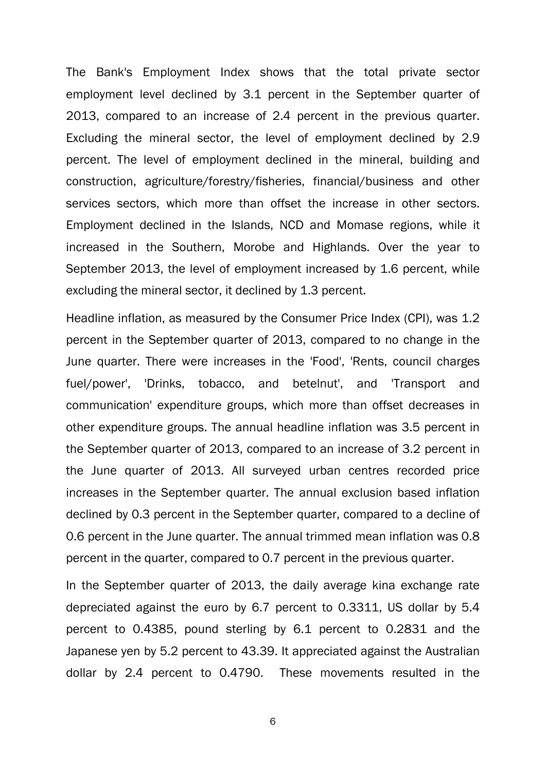The Bank's Employment Index shows that the total private sector employment level declined by 3.1 percent in the September quarter of 2013, compared to an increase of 2.4 percent in the previous quarter. Excluding the mineral sector, the level of employment declined by 2.9 percent. The level of employment declined in the mineral, building and construction, agriculture/forestry/fisheries, financial/business and other services sectors, which more than offset the increase in other sectors. Employment declined in the Islands, NCD and Momase regions, while it increased in the Southern, Morobe and Highlands. Over the year to September 2013, the level of employment increased by 1.6 percent, while excluding the mineral sector, it declined by 1.3 percent.

Headline inflation, as measured by the Consumer Price Index (CPI), was 1.2 percent in the September quarter of 2013, compared to no change in the June quarter. There were increases in the 'Food', 'Rents, council charges fuel/power', 'Drinks, tobacco, and betelnut', and 'Transport and communication' expenditure groups, which more than offset decreases in other expenditure groups. The annual headline inflation was 3.5 percent in the September quarter of 2013, compared to an increase of 3.2 percent in the June quarter of 2013. All surveyed urban centres recorded price increases in the September quarter. The annual exclusion based inflation declined by 0.3 percent in the September quarter, compared to a decline of 0.6 percent in the June quarter. The annual trimmed mean inflation was 0.8 percent in the quarter, compared to 0.7 percent in the previous quarter.

In the September quarter of 2013, the daily average kina exchange rate depreciated against the euro by 6.7 percent to 0.3311, US dollar by 5.4 percent to 0.4385, pound sterling by 6.1 percent to 0.2831 and the Japanese yen by 5.2 percent to 43.39. It appreciated against the Australian dollar by 2.4 percent to 0.4790. These movements resulted in the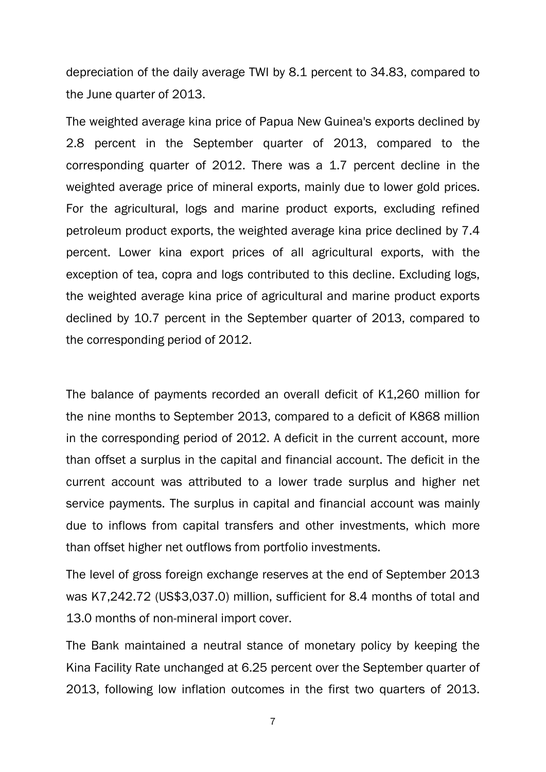depreciation of the daily average TWI by 8.1 percent to 34.83, compared to the June quarter of 2013.

The weighted average kina price of Papua New Guinea's exports declined by 2.8 percent in the September quarter of 2013, compared to the corresponding quarter of 2012. There was a 1.7 percent decline in the weighted average price of mineral exports, mainly due to lower gold prices. For the agricultural, logs and marine product exports, excluding refined petroleum product exports, the weighted average kina price declined by 7.4 percent. Lower kina export prices of all agricultural exports, with the exception of tea, copra and logs contributed to this decline. Excluding logs, the weighted average kina price of agricultural and marine product exports declined by 10.7 percent in the September quarter of 2013, compared to the corresponding period of 2012.

The balance of payments recorded an overall deficit of K1,260 million for the nine months to September 2013, compared to a deficit of K868 million in the corresponding period of 2012. A deficit in the current account, more than offset a surplus in the capital and financial account. The deficit in the current account was attributed to a lower trade surplus and higher net service payments. The surplus in capital and financial account was mainly due to inflows from capital transfers and other investments, which more than offset higher net outflows from portfolio investments.

The level of gross foreign exchange reserves at the end of September 2013 was K7,242.72 (US\$3,037.0) million, sufficient for 8.4 months of total and 13.0 months of non-mineral import cover.

The Bank maintained a neutral stance of monetary policy by keeping the Kina Facility Rate unchanged at 6.25 percent over the September quarter of 2013, following low inflation outcomes in the first two quarters of 2013.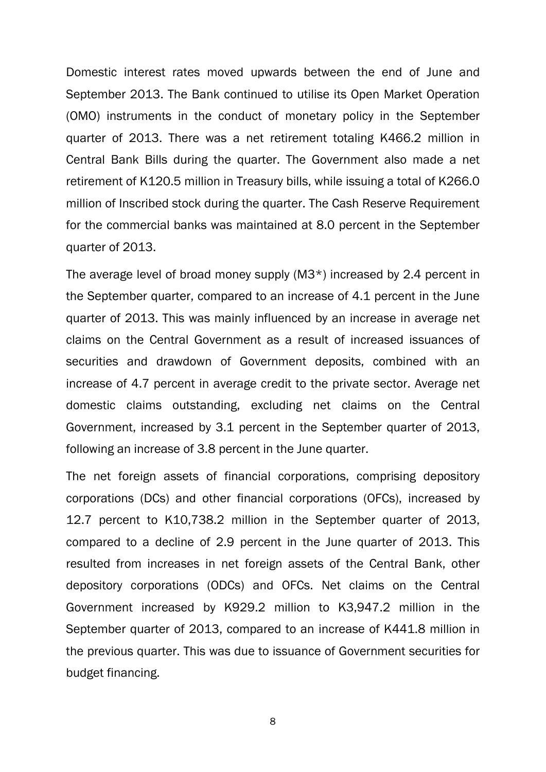Domestic interest rates moved upwards between the end of June and September 2013. The Bank continued to utilise its Open Market Operation (OMO) instruments in the conduct of monetary policy in the September quarter of 2013. There was a net retirement totaling K466.2 million in Central Bank Bills during the quarter. The Government also made a net retirement of K120.5 million in Treasury bills, while issuing a total of K266.0 million of Inscribed stock during the quarter. The Cash Reserve Requirement for the commercial banks was maintained at 8.0 percent in the September quarter of 2013.

The average level of broad money supply (M3\*) increased by 2.4 percent in the September quarter, compared to an increase of 4.1 percent in the June quarter of 2013. This was mainly influenced by an increase in average net claims on the Central Government as a result of increased issuances of securities and drawdown of Government deposits, combined with an increase of 4.7 percent in average credit to the private sector. Average net domestic claims outstanding, excluding net claims on the Central Government, increased by 3.1 percent in the September quarter of 2013, following an increase of 3.8 percent in the June quarter.

The net foreign assets of financial corporations, comprising depository corporations (DCs) and other financial corporations (OFCs), increased by 12.7 percent to K10,738.2 million in the September quarter of 2013, compared to a decline of 2.9 percent in the June quarter of 2013. This resulted from increases in net foreign assets of the Central Bank, other depository corporations (ODCs) and OFCs. Net claims on the Central Government increased by K929.2 million to K3,947.2 million in the September quarter of 2013, compared to an increase of K441.8 million in the previous quarter. This was due to issuance of Government securities for budget financing.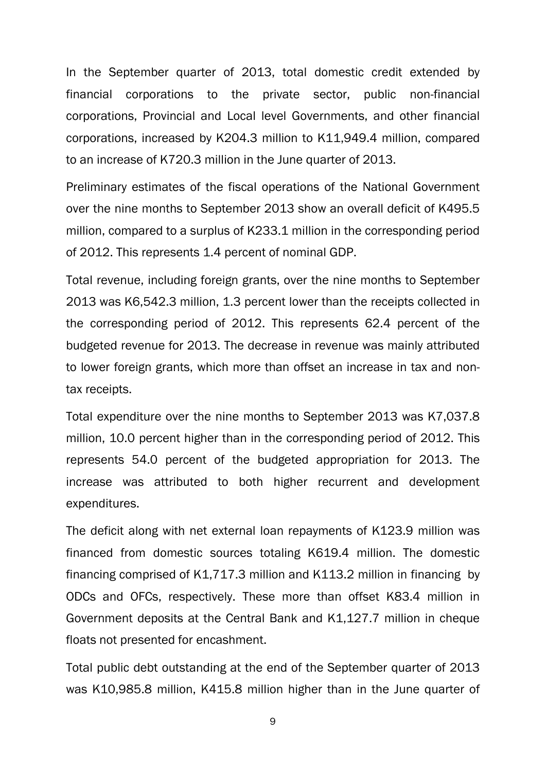In the September quarter of 2013, total domestic credit extended by financial corporations to the private sector, public non-financial corporations, Provincial and Local level Governments, and other financial corporations, increased by K204.3 million to K11,949.4 million, compared to an increase of K720.3 million in the June quarter of 2013.

Preliminary estimates of the fiscal operations of the National Government over the nine months to September 2013 show an overall deficit of K495.5 million, compared to a surplus of K233.1 million in the corresponding period of 2012. This represents 1.4 percent of nominal GDP.

Total revenue, including foreign grants, over the nine months to September 2013 was K6,542.3 million, 1.3 percent lower than the receipts collected in the corresponding period of 2012. This represents 62.4 percent of the budgeted revenue for 2013. The decrease in revenue was mainly attributed to lower foreign grants, which more than offset an increase in tax and nontax receipts.

Total expenditure over the nine months to September 2013 was K7,037.8 million, 10.0 percent higher than in the corresponding period of 2012. This represents 54.0 percent of the budgeted appropriation for 2013. The increase was attributed to both higher recurrent and development expenditures.

The deficit along with net external loan repayments of K123.9 million was financed from domestic sources totaling K619.4 million. The domestic financing comprised of K1,717.3 million and K113.2 million in financing by ODCs and OFCs, respectively. These more than offset K83.4 million in Government deposits at the Central Bank and K1,127.7 million in cheque floats not presented for encashment.

Total public debt outstanding at the end of the September quarter of 2013 was K10,985.8 million, K415.8 million higher than in the June quarter of